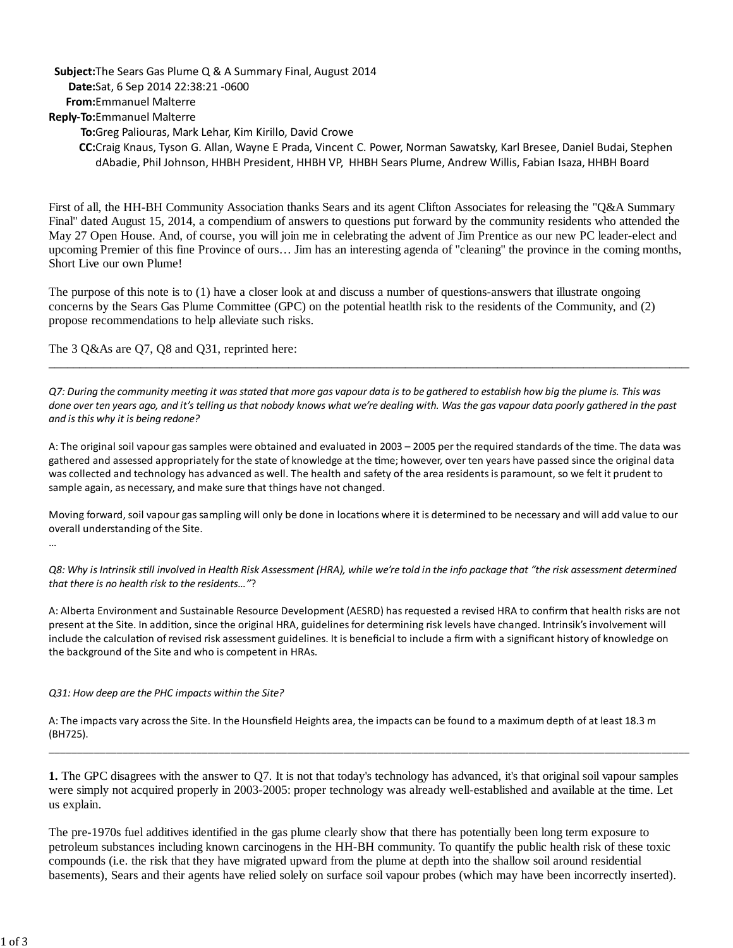## Subject: The Sears Gas Plume Q & A Summary Final, August 2014 **Da e:**Sat, 6 Sep 2014 22:38:21 -0600 **To:**Greg Paliouras, Mark Lehar, Kim Kirillo, David Crowe **CC:**Craig Knaus, Tyson G. Allan, Wayne E Prada, Vincent C. Power, Norman Sawatsky, Karl Bresee, Daniel Budai, Stephen dAbadie, Phil Johnson, HHBH President, HHBH VP, HHBH Sears Plume, Andrew Willis, Fabian Isaza, HHBH Board **From:**Emmanuel Malterre **Reply-To:**Emmanuel Malterre

 First of all, the HH-BH Community Association thanks Sears and its agent Clifton Associates for releasing the "Q&A Summary Final" dated August 15, 2014, a compendium of answers to questions put forward by the community residents who attended the May 27 Open House. And, of course, you will join me in celebrating the advent of Jim Prentice as our new PC leader-elect and upcoming Premier of this fine Province of ours… Jim has an interesting agenda of "cleaning" the province in the coming months, Short Live our own Plume!

 The purpose of this note is to (1) have a closer look at and discuss a number of questions-answers that illustrate ongoing concerns by the Sears Gas Plume Committee (GPC) on the potential heatlth risk to the residents of the Community, and (2) propose recommendations to help alleviate such risks.

The 3 Q&As are Q7, Q8 and Q31, reprinted here:

Q7: During the community meeting it was stated that more gas vapour data is to be gathered to establish how big the plume is. This was  *done over ten years ago, and it's telling us that nobody knows what we're dealing with. Was the gas vapour data poorly gathered in the past and is this why it is being redone?* 

 $\_$  , and the set of the set of the set of the set of the set of the set of the set of the set of the set of the set of the set of the set of the set of the set of the set of the set of the set of the set of the set of th

A: The original soil vapour gas samples were obtained and evaluated in 2003 – 2005 per the required standards of the time. The data was gathered and assessed appropriately for the state of knowledge at the time; however, over ten years have passed since the original data was collected and technology has advanced as well. The health and safety of the area residents is paramount, so we felt it prudent to sample again, as necessary, and make sure that things have not changed.

Moving forward, soil vapour gas sampling will only be done in locations where it is determined to be necessary and will add value to our overall understanding of the Site.

Q8: Why is Intrinsik still involved in Health Risk Assessment (HRA), while we're told in the info package that "the risk assessment determined  *that there is no health risk to the residents…"*?

 A: Alberta Environment and Sustainable Resource Development (AESRD) has requested a revised HRA to confirm that health risks are not [present at the Site. In](https://presentattheSite.In) addition, since the original HRA, guidelines for determining risk levels have changed. Intrinsik's involvement will include the calculation of revised risk assessment guidelines. It is beneficial to include a firm with a significant history of knowledge on the background of the Site and who is competent in HRAs.

 *Q31: How deep are the PHC impacts within the Site?* 

 A: The impacts vary across the Site. In the Hounsfield Heights area, the impacts can be found to a maximum depth [of at least 18.3 m](https://ofatleast18.3m) (BH725).

 **1.** The GPC disagrees with the answer to Q7. It is not that today's technology has advanced, it's that original soil vapour samples were simply not acquired properly in 2003-2005: proper technology was already well-established and available at the time. Let us explain.

\_\_\_\_\_\_\_\_\_\_\_\_\_\_\_\_\_\_\_\_\_\_\_\_\_\_\_\_\_\_\_\_\_\_\_\_\_\_\_\_\_\_\_\_\_\_\_\_\_\_\_\_\_\_\_\_\_\_\_\_\_\_\_\_\_\_\_\_\_\_\_\_\_\_\_\_\_\_\_\_\_\_\_\_\_\_\_\_\_\_\_\_\_\_\_\_\_\_\_\_\_\_\_\_\_\_\_\_\_\_\_\_\_

 The pre-1970s fuel additives identified in the gas plume clearly show that there has potentially been long term exposure to petroleum substances including known carcinogens in the HH-BH community. To quantify the public health risk of these toxic compounds (i.e. the risk that they have migrated upward from the plume at depth into the shallow soil around residential basements), Sears and their agents have relied solely on surface soil vapour probes (which may have been incorrectly inserted).

…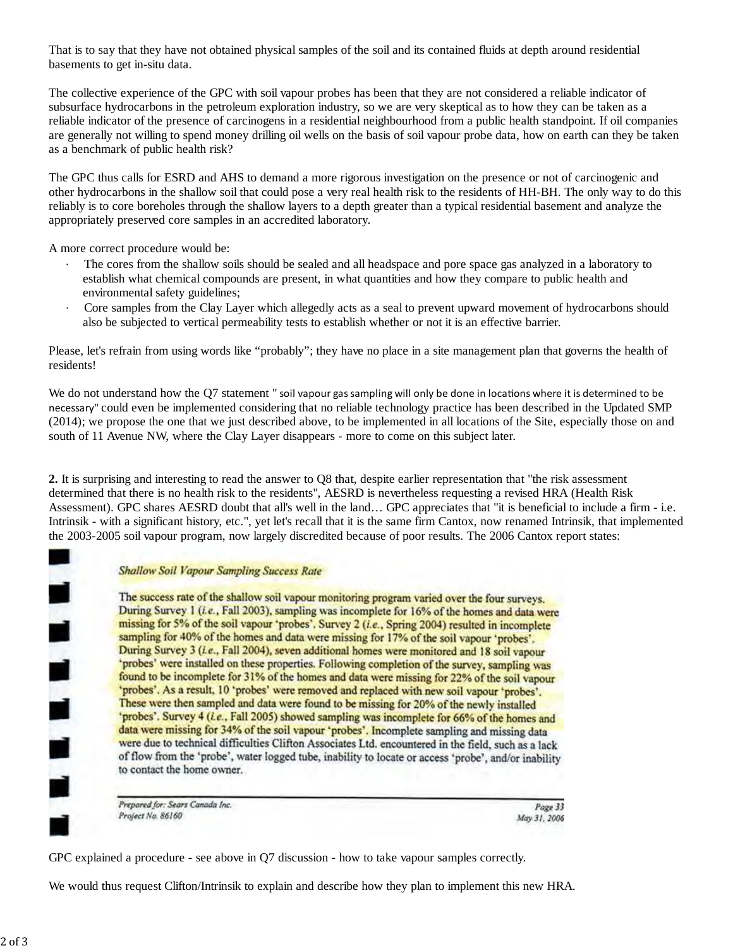That is to say that they have not obtained physical samples of the soil and its contained fluids at depth around residential basements to get in-situ data.

 The collective experience of the GPC with soil vapour probes has been that they are not considered a reliable indicator of subsurface hydrocarbons in the petroleum exploration industry, so we are very skeptical as to how they can be taken as a reliable indicator of the presence of carcinogens in a residential neighbourhood from a public health standpoint. If oil companies are generally not willing to spend money drilling oil wells on the basis of soil vapour probe data, how on earth can they be taken as a benchmark of public health risk?

 The GPC thus calls for ESRD and AHS to demand a more rigorous investigation on the presence or not of carcinogenic and other hydrocarbons in the shallow soil that could pose a very real health risk to the residents of HH-BH. The only way to do this reliably is to core boreholes through the shallow layers to a depth greater than a typical residential basement and analyze the appropriately preserved core samples in an accredited laboratory.

A more correct procedure would be:

- establish what chemical compounds are present, in what quantities and how they compare to public health and · The cores from the shallow soils should be sealed and all headspace and pore space gas analyzed in a laboratory to environmental safety guidelines;
- also be subjected to vertical permeability tests to establish whether or not it is an effective barrier. Core samples from the Clay Layer which allegedly acts as a seal to prevent upward movement of hydrocarbons should

 Please, let's refrain from using words like "probably"; they have no place in a site management plan that governs the health of residents!

We do not understand how the Q7 statement " soil vapour gas sampling will only be done in locations where it is determined to be necessary" could even be implemented considering that no reliable technology practice has been described in the Updated SMP (2014); we propose the one that we just described above, to be implemented in all locations of the Site, especially those on and south of 11 Avenue NW, where the Clay Layer disappears - more to come on this subject later.

 **2.** It is surprising and interesting to read the answer to Q8 that, despite earlier representation that "the risk assessment determined that there is no health risk to the residents", AESRD is nevertheless requesting a revised HRA (Health Risk Assessment). GPC shares AESRD doubt that all's well in the land… GPC appreciates that "it is beneficial to include a firm - i.e. Intrinsik - with a significant history, etc.", yet let's recall that it is the same firm Cantox, now renamed Intrinsik, that implemented the 2003-2005 soil vapour program, now largely discredited because of poor results. The 2006 Cantox report states:

## **Shallow Soil Vapour Sampling Success Rate**

The success rate of the shallow soil vapour monitoring program varied over the four surveys. During Survey 1 (i.e., Fall 2003), sampling was incomplete for 16% of the homes and data were missing for 5% of the soil vapour 'probes'. Survey 2 (i.e., Spring 2004) resulted in incomplete sampling for 40% of the homes and data were missing for 17% of the soil vapour 'probes'. During Survey 3 (i.e., Fall 2004), seven additional homes were monitored and 18 soil vapour 'probes' were installed on these properties. Following completion of the survey, sampling was found to be incomplete for 31% of the homes and data were missing for 22% of the soil vapour 'probes'. As a result, 10 'probes' were removed and replaced with new soil vapour 'probes'. These were then sampled and data were found to be missing for 20% of the newly installed 'probes'. Survey 4 (i.e., Fall 2005) showed sampling was incomplete for 66% of the homes and data were missing for 34% of the soil vapour 'probes'. Incomplete sampling and missing data were due to technical difficulties Clifton Associates Ltd. encountered in the field, such as a lack of flow from the 'probe', water logged tube, inability to locate or access 'probe', and/or inability to contact the home owner.

Prepared for: Sears Canada Inc. Project No. 86160

Page 33 May 31, 2006

GPC explained a procedure - see above in Q7 discussion - how to take vapour samples correctly.

We would thus request Clifton/Intrinsik to explain and describe how they plan to implement this new HRA.

**. . . . .**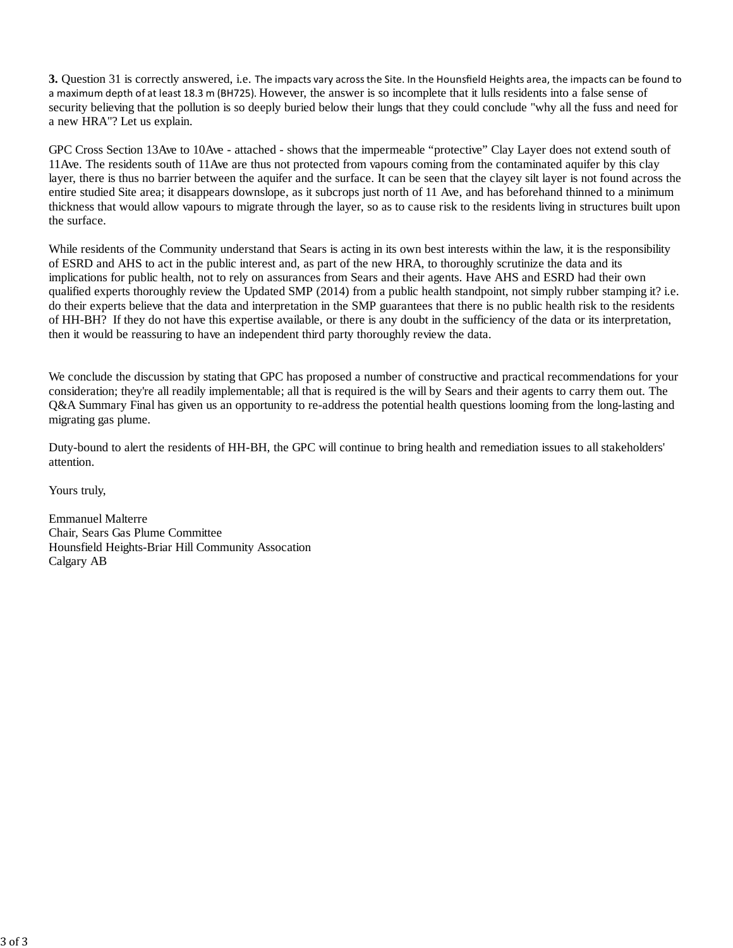**3.** Question 31 is correctly answered, i.e. The impacts vary across the Site. In the Hounsfield Heights area, the impacts can be found to a maximum depth of at least 18.3 m (BH725). However, the answer is so incomplete that it lulls residents into a false sense of security believing that the pollution is so deeply buried below their lungs that they could conclude "why all the fuss and need for a new HRA"? Let us explain.

 GPC Cross Section 13Ave to 10Ave - attached - shows that the impermeable "protective" Clay Layer does not extend south of 11Ave. The residents south of 11Ave are thus not protected from vapours coming from the contaminated aquifer by this clay layer, there is thus no barrier between the aquifer and the surface. It can be seen that the clayey silt layer is not found across the entire studied Site area; it disappears downslope, as it subcrops just north of 11 Ave, and has beforehand thinned to a minimum thickness that would allow vapours to migrate through the layer, so as to cause risk to the residents living in structures built upon the surface.

 While residents of the Community understand that Sears is acting in its own best interests within the law, it is the responsibility of ESRD and AHS to act in the public interest and, as part of the new HRA, to thoroughly scrutinize the data and its implications for public health, not to rely on assurances from Sears and their agents. Have AHS and ESRD had their own qualified experts thoroughly review the Updated SMP (2014) from a public health standpoint, not simply rubber stamping it? i.e. do their experts believe that the data and interpretation in the SMP guarantees that there is no public health risk to the residents of HH-BH? If they do not have this expertise available, or there is any doubt in the sufficiency of the data or its interpretation, then it would be reassuring to have an independent third party thoroughly review the data.

 We conclude the discussion by stating that GPC has proposed a number of constructive and practical recommendations for your consideration; they're all readily implementable; all that is required is the will by Sears and their agents to carry them out. The Q&A Summary Final has given us an opportunity to re-address the potential health questions looming from the long-lasting and migrating gas plume.

 Duty-bound to alert the residents of HH-BH, the GPC will continue to bring health and remediation issues to all stakeholders' attention.

Yours truly,

 Chair, Sears Gas Plume Committee Hounsfield Heights-Briar Hill Community Assocation Emmanuel Malterre Calgary AB